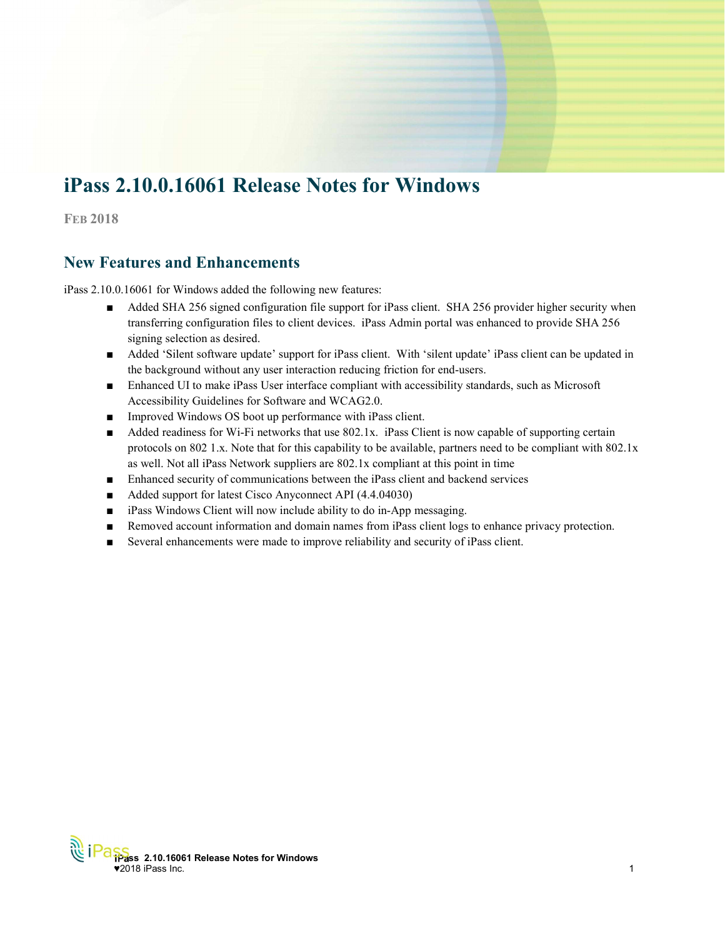# iPass 2.10.0.16061 Release Notes for Windows

**FEB 2018** 

# New Features and Enhancements

iPass 2.10.0.16061 for Windows added the following new features:

- Added SHA 256 signed configuration file support for iPass client. SHA 256 provider higher security when transferring configuration files to client devices. iPass Admin portal was enhanced to provide SHA 256 signing selection as desired.
- Added 'Silent software update' support for iPass client. With 'silent update' iPass client can be updated in the background without any user interaction reducing friction for end-users.
- Enhanced UI to make iPass User interface compliant with accessibility standards, such as Microsoft Accessibility Guidelines for Software and WCAG2.0.
- Improved Windows OS boot up performance with iPass client.
- Added readiness for Wi-Fi networks that use 802.1x. iPass Client is now capable of supporting certain protocols on 802 1.x. Note that for this capability to be available, partners need to be compliant with 802.1x as well. Not all iPass Network suppliers are 802.1x compliant at this point in time
- Enhanced security of communications between the iPass client and backend services
- Added support for latest Cisco Anyconnect API (4.4.04030)
- iPass Windows Client will now include ability to do in-App messaging.
- Removed account information and domain names from iPass client logs to enhance privacy protection.
- Several enhancements were made to improve reliability and security of iPass client.

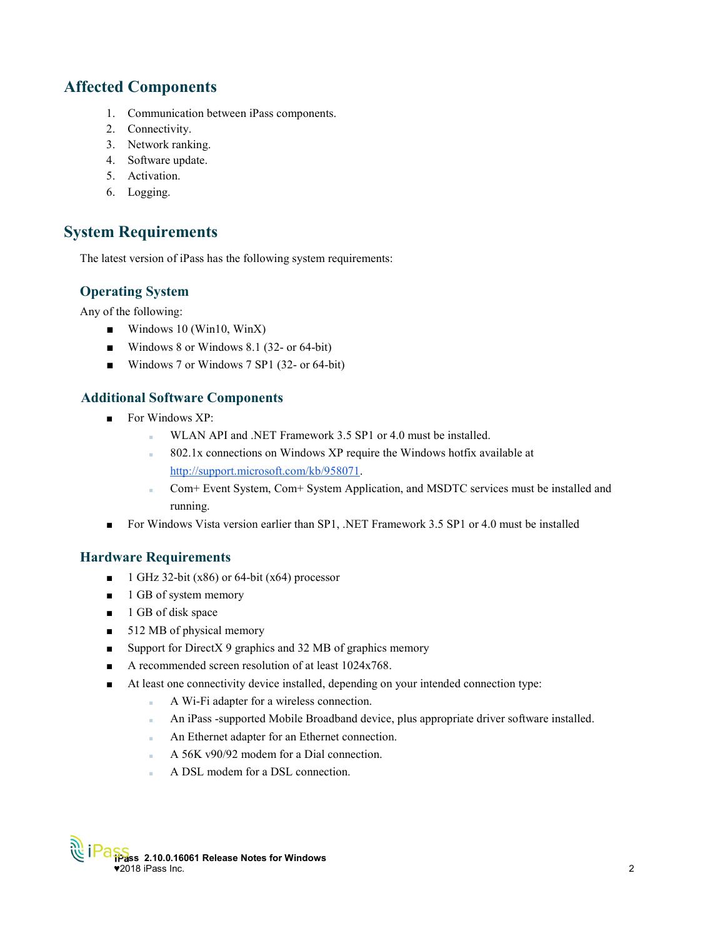# Affected Components

- 1. Communication between iPass components.
- 2. Connectivity.
- 3. Network ranking.
- 4. Software update.
- 5. Activation.
- 6. Logging.

## System Requirements

The latest version of iPass has the following system requirements:

## Operating System

Any of the following:

- Windows 10 (Win10, WinX)
- Windows 8 or Windows 8.1 (32- or 64-bit)
- Windows 7 or Windows 7 SP1 (32- or 64-bit)

## Additional Software Components

- For Windows XP:
	- WLAN API and .NET Framework 3.5 SP1 or 4.0 must be installed.
	- 802.1x connections on Windows XP require the Windows hotfix available at http://support.microsoft.com/kb/958071.
	- Com+ Event System, Com+ System Application, and MSDTC services must be installed and running.
- For Windows Vista version earlier than SP1, .NET Framework 3.5 SP1 or 4.0 must be installed

## Hardware Requirements

- $\blacksquare$  1 GHz 32-bit (x86) or 64-bit (x64) processor
- 1 GB of system memory
- 1 GB of disk space
- 512 MB of physical memory
- Support for DirectX 9 graphics and 32 MB of graphics memory
- A recommended screen resolution of at least 1024x768.
- At least one connectivity device installed, depending on your intended connection type:
	- A Wi-Fi adapter for a wireless connection.
	- An iPass -supported Mobile Broadband device, plus appropriate driver software installed.
	- An Ethernet adapter for an Ethernet connection.
	- A 56K v90/92 modem for a Dial connection.
	- A DSL modem for a DSL connection.

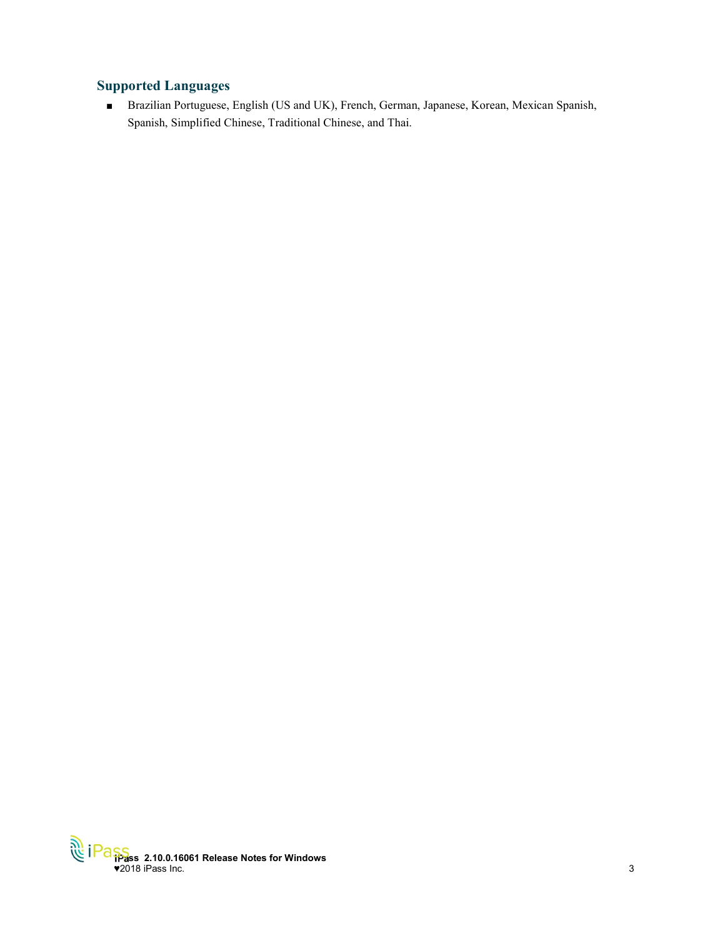## Supported Languages

■ Brazilian Portuguese, English (US and UK), French, German, Japanese, Korean, Mexican Spanish, Spanish, Simplified Chinese, Traditional Chinese, and Thai.

iPass 2.10.0.16061 Release Notes for Windows  $\bullet$ 2018 iPass Inc.  $\hspace{1.5cm}$  3